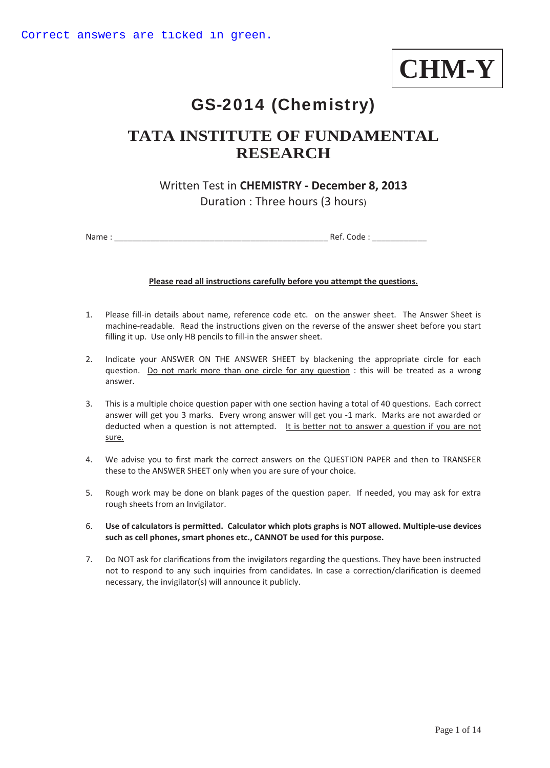**CHM-Y**

# GS-2014 (Chemistry)

## **TATA INSTITUTE OF FUNDAMENTAL RESEARCH**

## Written Test in **CHEMISTRY - December 8, 2013**  Duration : Three hours (3 hours)

Name : \_\_\_\_\_\_\_\_\_\_\_\_\_\_\_\_\_\_\_\_\_\_\_\_\_\_\_\_\_\_\_\_\_\_\_\_\_\_\_\_\_\_\_\_\_\_\_ Ref. Code : \_\_\_\_\_\_\_\_\_\_\_\_

#### **Please read all instructions carefully before you attempt the questions.**

- 1. Please fill-in details about name, reference code etc. on the answer sheet. The Answer Sheet is machine-readable. Read the instructions given on the reverse of the answer sheet before you start filling it up. Use only HB pencils to fill-in the answer sheet.
- 2. Indicate your ANSWER ON THE ANSWER SHEET by blackening the appropriate circle for each question. Do not mark more than one circle for any question : this will be treated as a wrong answer.
- 3. This is a multiple choice question paper with one section having a total of 40 questions. Each correct answer will get you 3 marks. Every wrong answer will get you -1 mark. Marks are not awarded or deducted when a question is not attempted. It is better not to answer a question if you are not sure.
- 4. We advise you to first mark the correct answers on the QUESTION PAPER and then to TRANSFER these to the ANSWER SHEET only when you are sure of your choice.
- 5. Rough work may be done on blank pages of the question paper. If needed, you may ask for extra rough sheets from an Invigilator.
- 6. **Use of calculators is permitted. Calculator which plots graphs is NOT allowed. Multiple-use devices such as cell phones, smart phones etc., CANNOT be used for this purpose.**
- 7. Do NOT ask for clarifications from the invigilators regarding the questions. They have been instructed not to respond to any such inquiries from candidates. In case a correction/clarification is deemed necessary, the invigilator(s) will announce it publicly.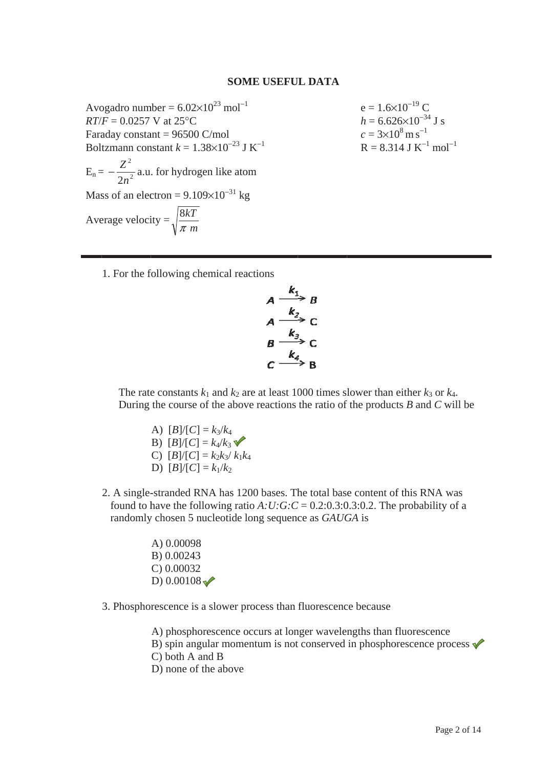#### **SOME USEFUL DATA**

Avogadro number =  $6.02 \times 10^{23}$  mol<sup>-1</sup>  $RT/F = 0.0257$  V at 25°C Faraday constant =  $96500$  C/mol Boltzmann constant  $k = 1.38 \times 10^{-23}$  J K<sup>-1</sup>  $E_n = -\frac{Z^2}{2n^2}$  a.u. for hydrogen like atom Mass of an electron =  $9.109 \times 10^{-31}$  kg Average velocity =  $\sqrt{\frac{8kT}{\pi m}}$ 

 $e = 1.6 \times 10^{-19}$  C  $h = 6.626 \times 10^{-34}$  J s  $c = 3 \times 10^8 \,\mathrm{m\,s}^{-1}$  $R = 8.314$  J K<sup>-1</sup> mol<sup>-1</sup>

1. For the following chemical reactions

$$
A \xrightarrow{k_1} B
$$
  
\n
$$
A \xrightarrow{k_2} C
$$
  
\n
$$
B \xrightarrow{k_3} C
$$
  
\n
$$
C \xrightarrow{k_4} B
$$

The rate constants  $k_1$  and  $k_2$  are at least 1000 times slower than either  $k_3$  or  $k_4$ . During the course of the above reactions the ratio of the products  $B$  and  $C$  will be

- A)  $[B]/[C] = k_3/k_4$ B)  $[B]/[C] = k_4/k_3$ C)  $[B]/[C] = k_2k_3/k_1k_4$ D)  $[B]/[C] = k_1/k_2$
- 2. A single-stranded RNA has 1200 bases. The total base content of this RNA was found to have the following ratio A:U:G:C =  $0.2:0.3:0.3:0.2$ . The probability of a randomly chosen 5 nucleotide long sequence as GAUGA is
	- A) 0.00098 B) 0.00243  $C$ ) 0.00032 D)  $0.00108 \sqrt{}$
- 3. Phosphorescence is a slower process than fluorescence because

A) phosphorescence occurs at longer wavelengths than fluorescence B) spin angular momentum is not conserved in phosphorescence process  $\checkmark$  $C$ ) both A and B D) none of the above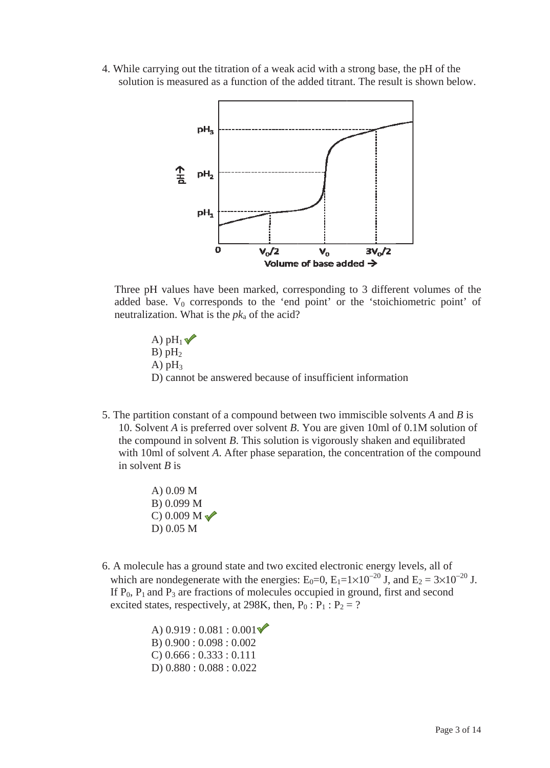4. While carrying out the titration of a weak acid with a strong base, the pH of the solution is measured as a function of the added titrant. The result is shown below.



Three pH values have been marked, corresponding to 3 different volumes of the added base.  $V_0$  corresponds to the 'end point' or the 'stoichiometric point' of neutralization. What is the  $pk_a$  of the acid?

- A)  $pH_1 \blacktriangledown$  $B)$  pH<sub>2</sub> A)  $pH_3$ D) cannot be answered because of insufficient information
- 5. The partition constant of a compound between two immiscible solvents  $A$  and  $B$  is 10. Solvent A is preferred over solvent B. You are given 10ml of 0.1M solution of the compound in solvent  $B$ . This solution is vigorously shaken and equilibrated with 10ml of solvent A. After phase separation, the concentration of the compound in solvent  $B$  is
	- A)  $0.09 M$ B) 0.099 M C) 0.009 M $\sqrt{\ }$  $D) 0.05 M$
- 6. A molecule has a ground state and two excited electronic energy levels, all of which are nondegenerate with the energies:  $E_0=0$ ,  $E_1=1\times10^{-20}$  J, and  $E_2=3\times10^{-20}$  J. If  $P_0$ ,  $P_1$  and  $P_3$  are fractions of molecules occupied in ground, first and second excited states, respectively, at 298K, then,  $P_0$ :  $P_1$ :  $P_2$  = ?

A)  $0.919:0.081:0.001$  $B) 0.900 : 0.098 : 0.002$  $C$ ) 0.666 : 0.333 : 0.111  $D) 0.880 : 0.088 : 0.022$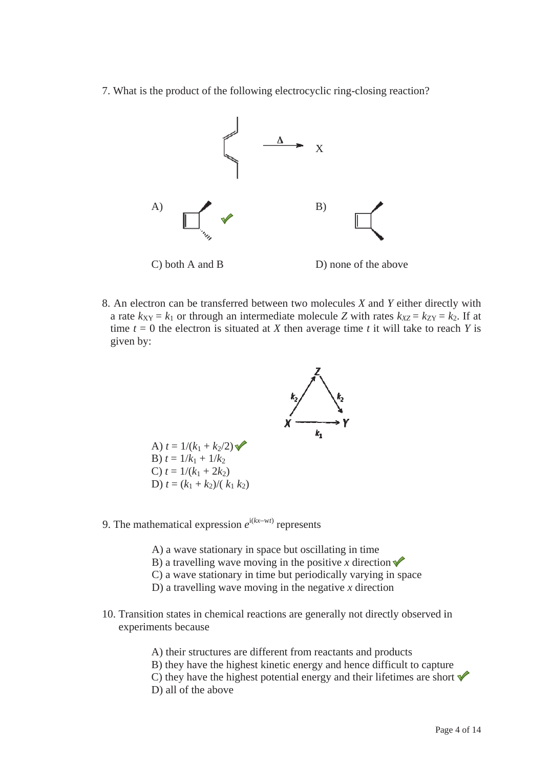7. What is the product of the following electrocyclic ring-closing reaction?



8. An electron can be transferred between two molecules  $X$  and  $Y$  either directly with a rate  $k_{XY} = k_1$  or through an intermediate molecule Z with rates  $k_{XZ} = k_{ZY} = k_2$ . If at time  $t = 0$  the electron is situated at X then average time t it will take to reach Y is given by:



- 9. The mathematical expression  $e^{i(kx-wt)}$  represents
	- A) a wave stationary in space but oscillating in time
	- B) a travelling wave moving in the positive x direction  $\checkmark$
	- C) a wave stationary in time but periodically varying in space
	- D) a travelling wave moving in the negative  $x$  direction
- 10. Transition states in chemical reactions are generally not directly observed in experiments because

A) their structures are different from reactants and products B) they have the highest kinetic energy and hence difficult to capture C) they have the highest potential energy and their lifetimes are short  $\checkmark$ D) all of the above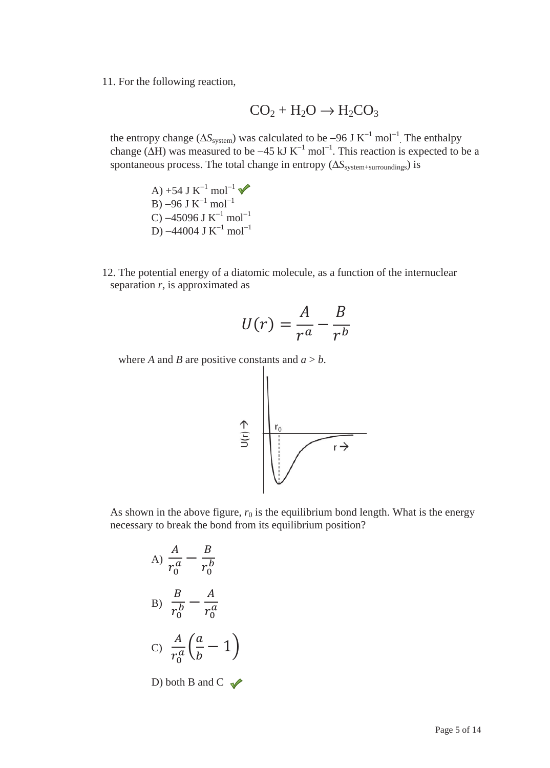11. For the following reaction,

$$
CO_2 + H_2O \rightarrow H_2CO_3
$$

the entropy change ( $\Delta S_{\text{system}}$ ) was calculated to be –96 J K<sup>-1</sup> mol<sup>-1</sup>. The enthalpy change ( $\Delta H$ ) was measured to be -45 kJ K<sup>-1</sup> mol<sup>-1</sup>. This reaction is expected to be a spontaneous process. The total change in entropy ( $\Delta S_{\text{system+surroundings}}$ ) is

A) +54 J  $K^{-1}$  mol<sup>-1</sup> B) –96 J  $K^{-1}$  mol<sup>-1</sup> C) –45096 J  $K^{-1}$  mol<sup>-1</sup> D) –44004 J  $K^{-1}$  mol<sup>-1</sup>

12. The potential energy of a diatomic molecule, as a function of the internuclear separation *r*, is approximated as

$$
U(r) = \frac{A}{r^a} - \frac{B}{r^b}
$$

where *A* and *B* are positive constants and  $a > b$ .



As shown in the above figure,  $r_0$  is the equilibrium bond length. What is the energy necessary to break the bond from its equilibrium position?

A) 
$$
\frac{A}{r_0^a} - \frac{B}{r_0^b}
$$
  
\nB)  $\frac{B}{r_0^b} - \frac{A}{r_0^a}$   
\nC)  $\frac{A}{r_0^a} \left(\frac{a}{b} - 1\right)$   
\nD) both B and C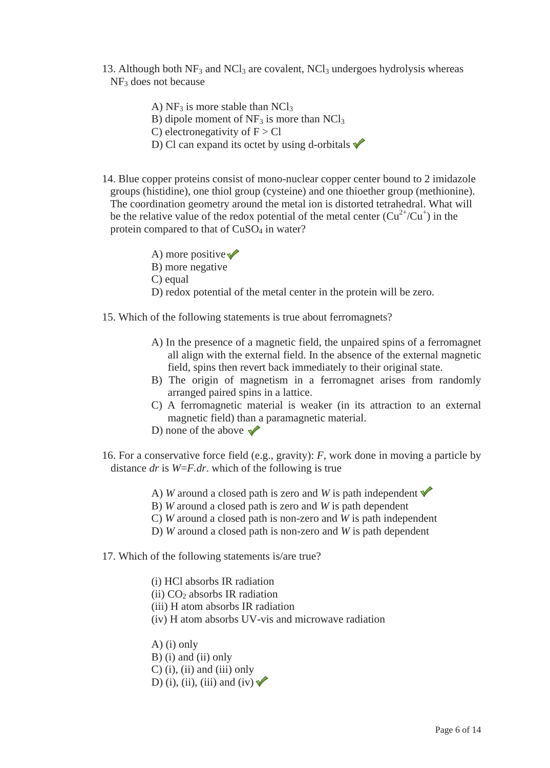- 13. Although both  $NF_3$  and  $NCl_3$  are covalent,  $NCl_3$  undergoes hydrolysis whereas NF3 does not because
	- A)  $NF_3$  is more stable than  $NCl_3$
	- B) dipole moment of  $NF_3$  is more than  $NCl_3$
	- C) electronegativity of  $F > Cl$
	- D) Cl can expand its octet by using d-orbitals  $\sqrt{\ }$
- 14. Blue copper proteins consist of mono-nuclear copper center bound to 2 imidazole groups (histidine), one thiol group (cysteine) and one thioether group (methionine). The coordination geometry around the metal ion is distorted tetrahedral. What will be the relative value of the redox potential of the metal center  $(Cu^{2+}/Cu^{+})$  in the protein compared to that of CuSO<sub>4</sub> in water?
	- A) more positive  $\sqrt{\ }$
	- B) more negative
	- C) equal
	- D) redox potential of the metal center in the protein will be zero.
- 15. Which of the following statements is true about ferromagnets?
	- A) In the presence of a magnetic field, the unpaired spins of a ferromagnet all align with the external field. In the absence of the external magnetic field, spins then revert back immediately to their original state.
	- B) The origin of magnetism in a ferromagnet arises from randomly arranged paired spins in a lattice.
	- C) A ferromagnetic material is weaker (in its attraction to an external magnetic field) than a paramagnetic material.
	- D) none of the above  $\sqrt{\phantom{0}}$
- 16. For a conservative force field (e.g., gravity): *F*, work done in moving a particle by distance *dr* is *W*=*F.dr*. which of the following is true
	- A) *W* around a closed path is zero and *W* is path independent  $\checkmark$
	- B) *W* around a closed path is zero and *W* is path dependent
	- C) *W* around a closed path is non-zero and *W* is path independent
	- D) *W* around a closed path is non-zero and *W* is path dependent
- 17. Which of the following statements is/are true?
	- (i) HCl absorbs IR radiation (ii)  $CO<sub>2</sub>$  absorbs IR radiation (iii) H atom absorbs IR radiation (iv) H atom absorbs UV-vis and microwave radiation A) (i) only
	- B) (i) and (ii) only  $C$ ) (i), (ii) and (iii) only D) (i), (ii), (iii) and (iv)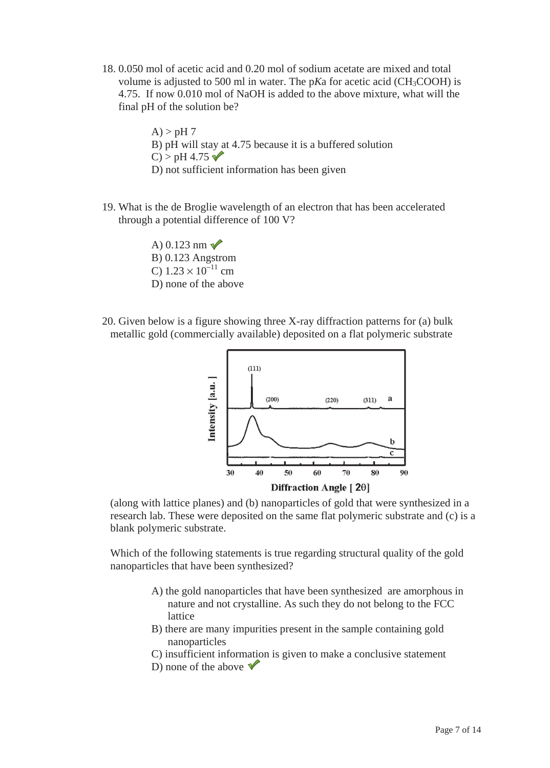18. 0.050 mol of acetic acid and 0.20 mol of sodium acetate are mixed and total volume is adjusted to 500 ml in water. The p*K*a for acetic acid (CH3COOH) is 4.75. If now 0.010 mol of NaOH is added to the above mixture, what will the final pH of the solution be?

> $A$ ) > pH 7 B) pH will stay at 4.75 because it is a buffered solution  $C$ ) > pH 4.75 D) not sufficient information has been given

19. What is the de Broglie wavelength of an electron that has been accelerated through a potential difference of 100 V?

> A)  $0.123$  nm  $\sqrt{ }$ B) 0.123 Angstrom C)  $1.23 \times 10^{-11}$  cm D) none of the above

20. Given below is a figure showing three X-ray diffraction patterns for (a) bulk metallic gold (commercially available) deposited on a flat polymeric substrate



(along with lattice planes) and (b) nanoparticles of gold that were synthesized in a research lab. These were deposited on the same flat polymeric substrate and (c) is a blank polymeric substrate.

Which of the following statements is true regarding structural quality of the gold nanoparticles that have been synthesized?

- A) the gold nanoparticles that have been synthesized are amorphous in nature and not crystalline. As such they do not belong to the FCC lattice
- B) there are many impurities present in the sample containing gold nanoparticles
- C) insufficient information is given to make a conclusive statement
- D) none of the above  $\sqrt{\ }$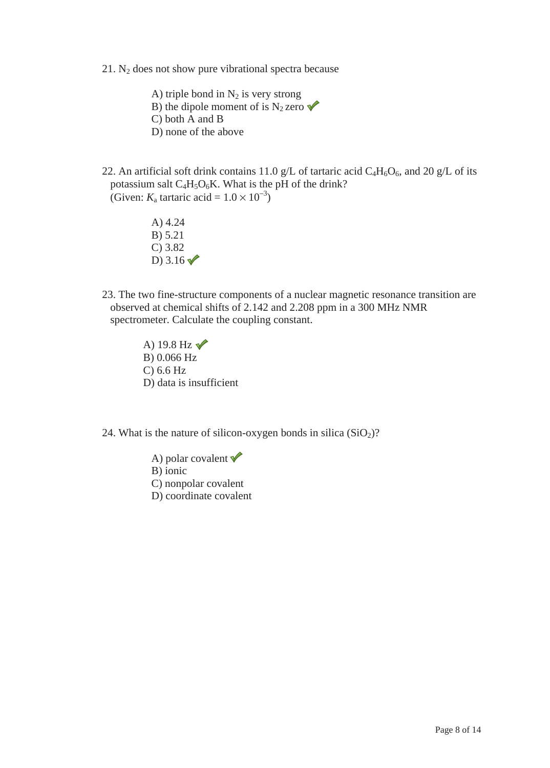$21.$  N<sub>2</sub> does not show pure vibrational spectra because

A) triple bond in  $N_2$  is very strong B) the dipole moment of is N<sub>2</sub> zero  $\checkmark$ C) both A and B D) none of the above

22. An artificial soft drink contains 11.0 g/L of tartaric acid  $C_4H_6O_6$ , and 20 g/L of its potassium salt  $C_4H_5O_6K$ . What is the pH of the drink? (Given:  $K_a$  tartaric acid =  $1.0 \times 10^{-3}$ )

- A) 4.24 B) 5.21 C) 3.82 D)  $3.16 \sqrt{ }$
- 23. The two fine-structure components of a nuclear magnetic resonance transition are observed at chemical shifts of 2.142 and 2.208 ppm in a 300 MHz NMR spectrometer. Calculate the coupling constant.
	- A) 19.8 Hz  $\sqrt{ }$ B) 0.066 Hz C) 6.6 Hz D) data is insufficient

24. What is the nature of silicon-oxygen bonds in silica  $(SiO<sub>2</sub>)$ ?

A) polar covalent  $\checkmark$ B) ionic C) nonpolar covalent D) coordinate covalent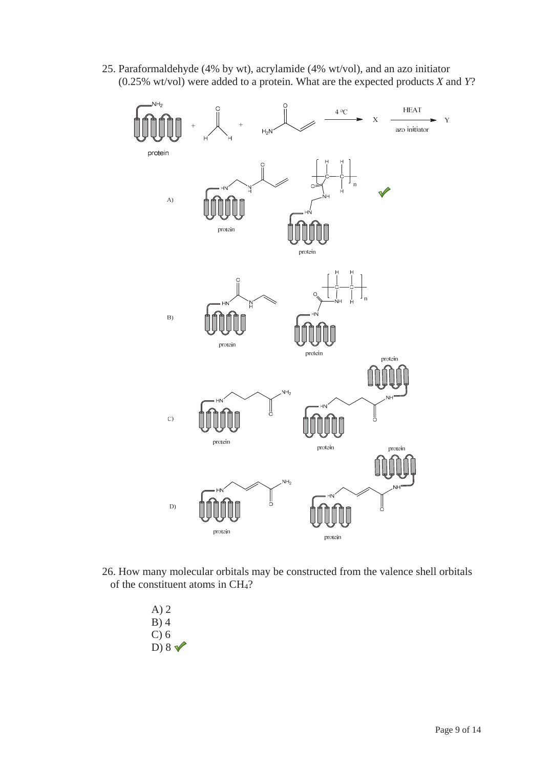25. Paraformaldehyde (4% by wt), acrylamide (4% wt/vol), and an azo initiator (0.25% wt/vol) were added to a protein. What are the expected products *X* and *Y*?



26. How many molecular orbitals may be constructed from the valence shell orbitals of the constituent atoms in CH4?

> A) 2 B) 4 C) 6 D)  $8 \sqrt{ }$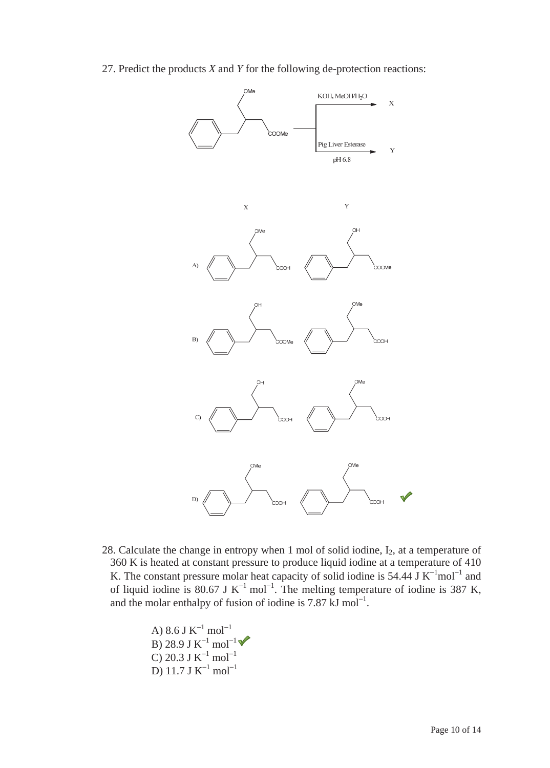27. Predict the products *X* and *Y* for the following de-protection reactions:



28. Calculate the change in entropy when 1 mol of solid iodine,  $I_2$ , at a temperature of 360 K is heated at constant pressure to produce liquid iodine at a temperature of 410 K. The constant pressure molar heat capacity of solid iodine is  $54.44$  J K<sup>-1</sup>mol<sup>-1</sup> and of liquid iodine is 80.67 J K<sup>-1</sup> mol<sup>-1</sup>. The melting temperature of iodine is 387 K, and the molar enthalpy of fusion of iodine is  $7.87 \text{ kJ mol}^{-1}$ .

> A) 8.6 J  $\mathrm{K}^{-1}$  mol $^{-1}$ B) 28.9 J  $\mathrm{K}^{-1}$  mol $^{-1}$ C) 20.3 J  $K^{-1}$  mol $^{-1}$ D) 11.7 J  $K^{-1}$  mol $^{-1}$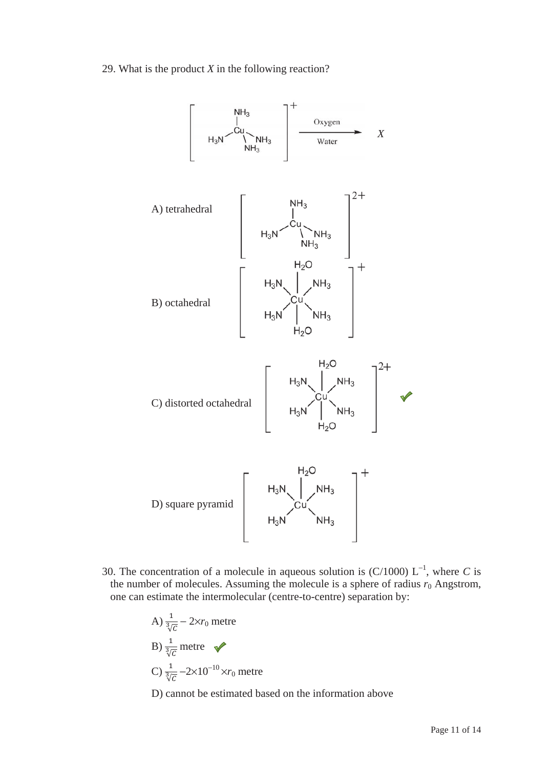29. What is the product *X* in the following reaction?



30. The concentration of a molecule in aqueous solution is  $(C/1000)$  L<sup>-1</sup>, where *C* is the number of molecules. Assuming the molecule is a sphere of radius  $r_0$  Angstrom, one can estimate the intermolecular (centre-to-centre) separation by:

A) 
$$
\frac{1}{\sqrt[3]{c}} - 2 \times r_0
$$
 metre  
\nB)  $\frac{1}{\sqrt[3]{c}}$  metre  
\nC)  $\frac{1}{\sqrt[3]{c}} - 2 \times 10^{-10} \times r_0$  metre

D) cannot be estimated based on the information above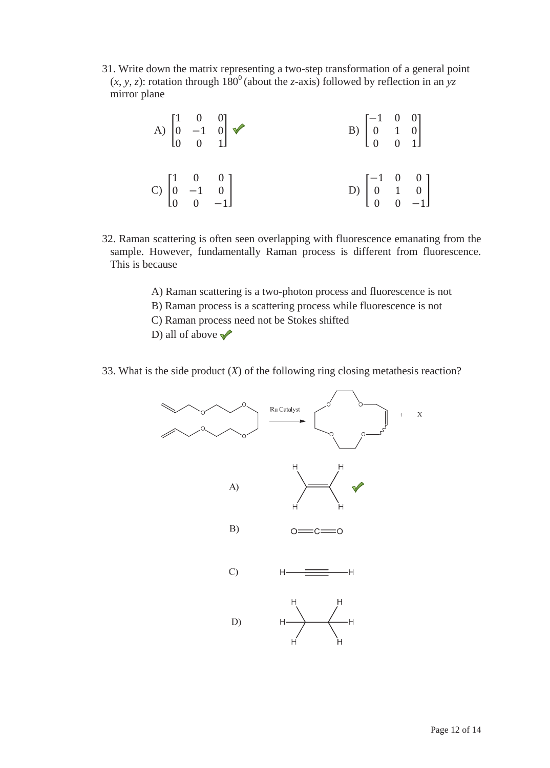31. Write down the matrix representing a two-step transformation of a general point  $(x, y, z)$ : rotation through  $180^\circ$  (about the *z*-axis) followed by reflection in an *yz* mirror plane

| A) $\begin{bmatrix} 1 & 0 & 0 \\ 0 & -1 & 0 \\ 0 & 0 & 1 \end{bmatrix}$ $\blacktriangleright$ |  | B) $\begin{bmatrix} -1 & 0 & 0 \\ 0 & 1 & 0 \\ 0 & 0 & 1 \end{bmatrix}$  |  |
|-----------------------------------------------------------------------------------------------|--|--------------------------------------------------------------------------|--|
| C) $\begin{bmatrix} 1 & 0 & 0 \\ 0 & -1 & 0 \\ 0 & 0 & -1 \end{bmatrix}$                      |  | D) $\begin{bmatrix} -1 & 0 & 0 \\ 0 & 1 & 0 \\ 0 & 0 & -1 \end{bmatrix}$ |  |

- 32. Raman scattering is often seen overlapping with fluorescence emanating from the sample. However, fundamentally Raman process is different from fluorescence. This is because
	- A) Raman scattering is a two-photon process and fluorescence is not
	- B) Raman process is a scattering process while fluorescence is not
	- C) Raman process need not be Stokes shifted
	- D) all of above  $\sqrt{\ }$
- 33. What is the side product (*X*) of the following ring closing metathesis reaction?

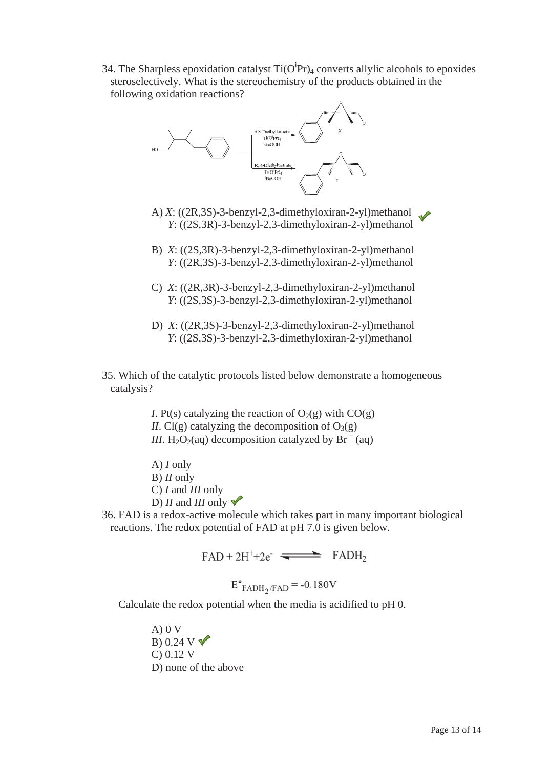34. The Sharpless epoxidation catalyst  $Ti(O^iPr)_4$  converts allylic alcohols to epoxides steroselectively. What is the stereochemistry of the products obtained in the following oxidation reactions?



- A) *X*: ((2R,3S)-3-benzyl-2,3-dimethyloxiran-2-yl)methanol *Y*: ((2S,3R)-3-benzyl-2,3-dimethyloxiran-2-yl)methanol
- B) *X*: ((2S,3R)-3-benzyl-2,3-dimethyloxiran-2-yl)methanol *Y*: ((2R,3S)-3-benzyl-2,3-dimethyloxiran-2-yl)methanol
- C) *X*: ((2R,3R)-3-benzyl-2,3-dimethyloxiran-2-yl)methanol *Y*: ((2S,3S)-3-benzyl-2,3-dimethyloxiran-2-yl)methanol
- D) *X*: ((2R,3S)-3-benzyl-2,3-dimethyloxiran-2-yl)methanol *Y*: ((2S,3S)-3-benzyl-2,3-dimethyloxiran-2-yl)methanol

35. Which of the catalytic protocols listed below demonstrate a homogeneous catalysis?

> *I*. Pt(s) catalyzing the reaction of  $O_2(g)$  with  $CO(g)$ *II*. Cl(g) catalyzing the decomposition of  $O_3(g)$ *III*. H<sub>2</sub>O<sub>2</sub>(aq) decomposition catalyzed by  $Br^{-}(aq)$

A) *I* only B) *II* only C) *I* and *III* only D) *II* and *III* only  $\vee$ 

36. FAD is a redox-active molecule which takes part in many important biological reactions. The redox potential of FAD at pH 7.0 is given below.

 $FAD + 2H^{+} + 2e^{-}$   $\implies$   $FADH_{2}$ 

$$
E^{\circ}
$$
FADH<sub>2</sub>/FAD = -0.180V

Calculate the redox potential when the media is acidified to pH 0.

A) 0 V B) 0.24 V  $\nabla$ C) 0.12 V D) none of the above